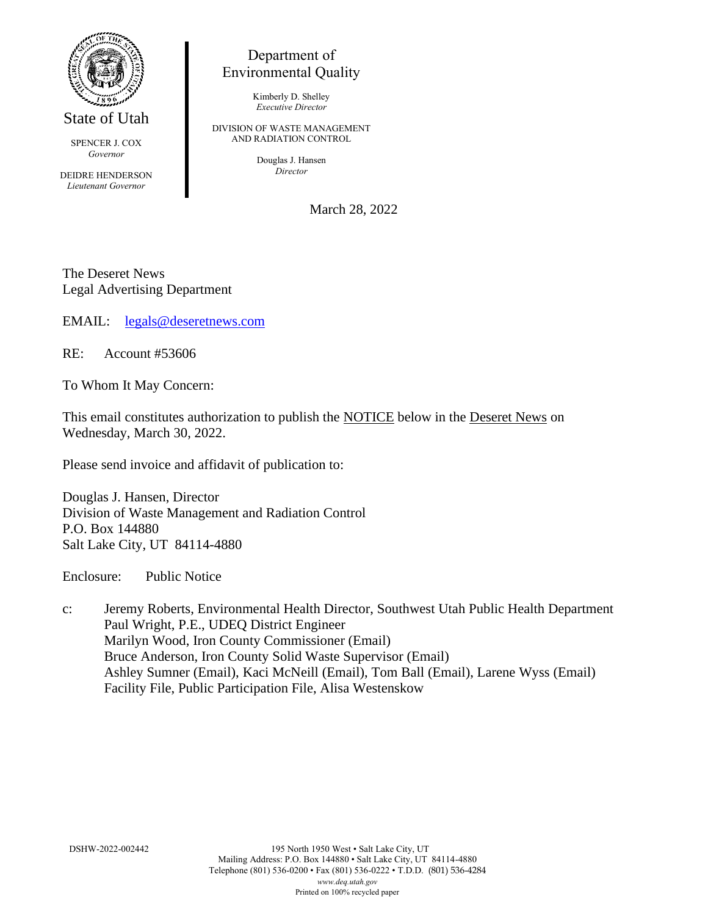

State of Utah

SPENCER J. COX *Governor*

DEIDRE HENDERSON *Lieutenant Governor*

## Department of Environmental Quality

Kimberly D. Shelley *Executive Director*

DIVISION OF WASTE MANAGEMENT AND RADIATION CONTROL

> Douglas J. Hansen *Director*

> > March 28, 2022

The Deseret News Legal Advertising Department

EMAIL: [legals@deseretnews.com](mailto:legals@deseretnews.com)

RE: Account #53606

To Whom It May Concern:

This email constitutes authorization to publish the NOTICE below in the Deseret News on Wednesday, March 30, 2022.

Please send invoice and affidavit of publication to:

Douglas J. Hansen, Director Division of Waste Management and Radiation Control P.O. Box 144880 Salt Lake City, UT 84114-4880

Enclosure: Public Notice

c: Jeremy Roberts, Environmental Health Director, Southwest Utah Public Health Department Paul Wright, P.E., UDEQ District Engineer Marilyn Wood, Iron County Commissioner (Email) Bruce Anderson, Iron County Solid Waste Supervisor (Email) Ashley Sumner (Email), Kaci McNeill (Email), Tom Ball (Email), Larene Wyss (Email) Facility File, Public Participation File, Alisa Westenskow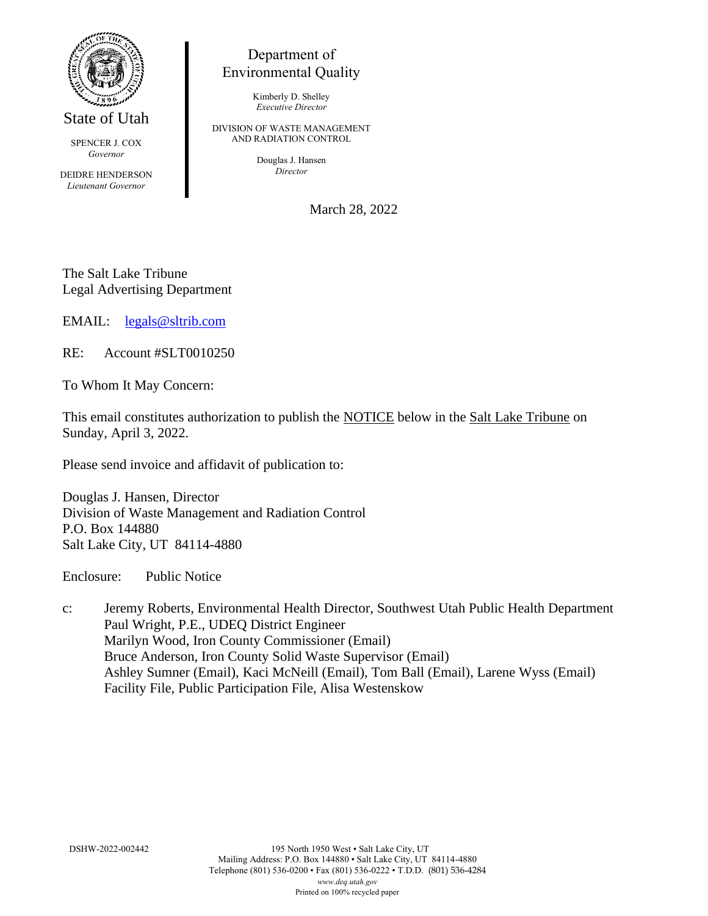

State of Utah

SPENCER J. COX *Governor*

DEIDRE HENDERSON *Lieutenant Governor*

## Department of Environmental Quality

Kimberly D. Shelley *Executive Director*

DIVISION OF WASTE MANAGEMENT AND RADIATION CONTROL

> Douglas J. Hansen *Director*

> > March 28, 2022

The Salt Lake Tribune Legal Advertising Department

EMAIL: [legals@sltrib.com](mailto:legals@sltrib.com)

RE: Account #SLT0010250

To Whom It May Concern:

This email constitutes authorization to publish the NOTICE below in the Salt Lake Tribune on Sunday, April 3, 2022.

Please send invoice and affidavit of publication to:

Douglas J. Hansen, Director Division of Waste Management and Radiation Control P.O. Box 144880 Salt Lake City, UT 84114-4880

Enclosure: Public Notice

c: Jeremy Roberts, Environmental Health Director, Southwest Utah Public Health Department Paul Wright, P.E., UDEQ District Engineer Marilyn Wood, Iron County Commissioner (Email) Bruce Anderson, Iron County Solid Waste Supervisor (Email) Ashley Sumner (Email), Kaci McNeill (Email), Tom Ball (Email), Larene Wyss (Email) Facility File, Public Participation File, Alisa Westenskow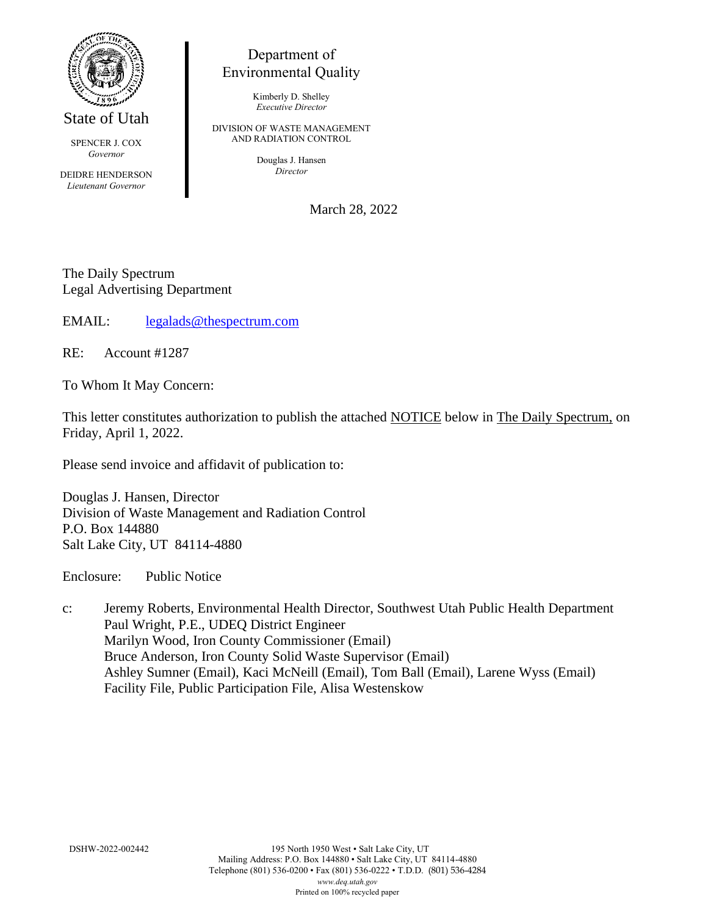

State of Utah

SPENCER J. COX *Governor*

DEIDRE HENDERSON *Lieutenant Governor*

## Department of Environmental Quality

Kimberly D. Shelley *Executive Director*

DIVISION OF WASTE MANAGEMENT AND RADIATION CONTROL

> Douglas J. Hansen *Director*

> > March 28, 2022

The Daily Spectrum Legal Advertising Department

EMAIL: [legalads@thespectrum.com](mailto:legalads@thespectrum.com)

RE: Account #1287

To Whom It May Concern:

This letter constitutes authorization to publish the attached NOTICE below in The Daily Spectrum, on Friday, April 1, 2022.

Please send invoice and affidavit of publication to:

Douglas J. Hansen, Director Division of Waste Management and Radiation Control P.O. Box 144880 Salt Lake City, UT 84114-4880

Enclosure: Public Notice

c: Jeremy Roberts, Environmental Health Director, Southwest Utah Public Health Department Paul Wright, P.E., UDEQ District Engineer Marilyn Wood, Iron County Commissioner (Email) Bruce Anderson, Iron County Solid Waste Supervisor (Email) Ashley Sumner (Email), Kaci McNeill (Email), Tom Ball (Email), Larene Wyss (Email) Facility File, Public Participation File, Alisa Westenskow